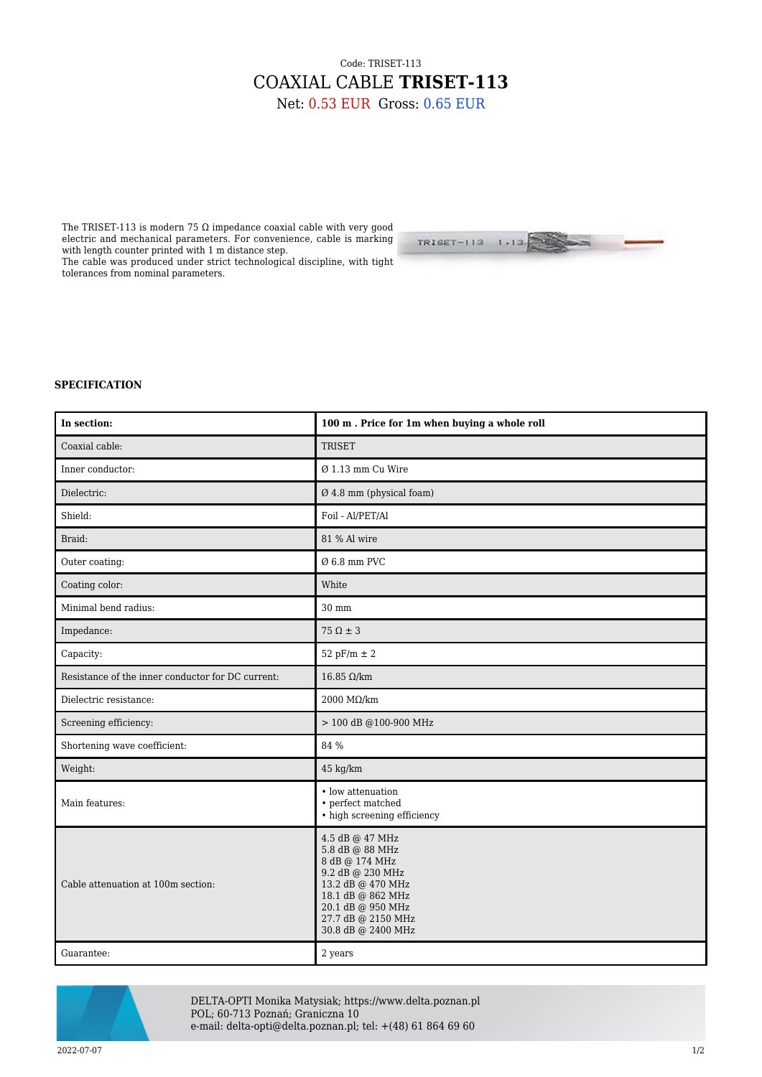## Code: TRISET-113 COAXIAL CABLE **TRISET-113** Net: 0.53 EUR Gross: 0.65 EUR

The TRISET-113 is modern 75  $\Omega$  impedance coaxial cable with very good electric and mechanical parameters. For convenience, cable is marking with length counter printed with 1 m distance step.

The cable was produced under strict technological discipline, with tight tolerances from nominal parameters.



## **SPECIFICATION**

| In section:                                       | 100 m. Price for 1m when buying a whole roll                                                                                                                                        |
|---------------------------------------------------|-------------------------------------------------------------------------------------------------------------------------------------------------------------------------------------|
| Coaxial cable:                                    | <b>TRISET</b>                                                                                                                                                                       |
| Inner conductor:                                  | $Ø$ 1.13 mm Cu Wire                                                                                                                                                                 |
| Dielectric:                                       | Ø 4.8 mm (physical foam)                                                                                                                                                            |
| Shield:                                           | Foil - Al/PET/Al                                                                                                                                                                    |
| Braid:                                            | 81 % Al wire                                                                                                                                                                        |
| Outer coating:                                    | $Ø$ 6.8 mm PVC                                                                                                                                                                      |
| Coating color:                                    | White                                                                                                                                                                               |
| Minimal bend radius:                              | $30 \text{ mm}$                                                                                                                                                                     |
| Impedance:                                        | $75 \Omega \pm 3$                                                                                                                                                                   |
| Capacity:                                         | 52 pF/m $\pm$ 2                                                                                                                                                                     |
| Resistance of the inner conductor for DC current: | 16.85 $Ω/km$                                                                                                                                                                        |
| Dielectric resistance:                            | 2000 MΩ/km                                                                                                                                                                          |
| Screening efficiency:                             | > 100 dB @100-900 MHz                                                                                                                                                               |
| Shortening wave coefficient:                      | 84 %                                                                                                                                                                                |
| Weight:                                           | 45 kg/km                                                                                                                                                                            |
| Main features:                                    | • low attenuation<br>• perfect matched<br>• high screening efficiency                                                                                                               |
| Cable attenuation at 100m section:                | 4.5 dB @ 47 MHz<br>5.8 dB @ 88 MHz<br>8 dB @ 174 MHz<br>9.2 dB @ 230 MHz<br>13.2 dB @ 470 MHz<br>18.1 dB @ 862 MHz<br>20.1 dB @ 950 MHz<br>27.7 dB @ 2150 MHz<br>30.8 dB @ 2400 MHz |
| Guarantee:                                        | $2\ \mathrm{years}$                                                                                                                                                                 |



DELTA-OPTI Monika Matysiak; https://www.delta.poznan.pl POL; 60-713 Poznań; Graniczna 10 e-mail: delta-opti@delta.poznan.pl; tel: +(48) 61 864 69 60